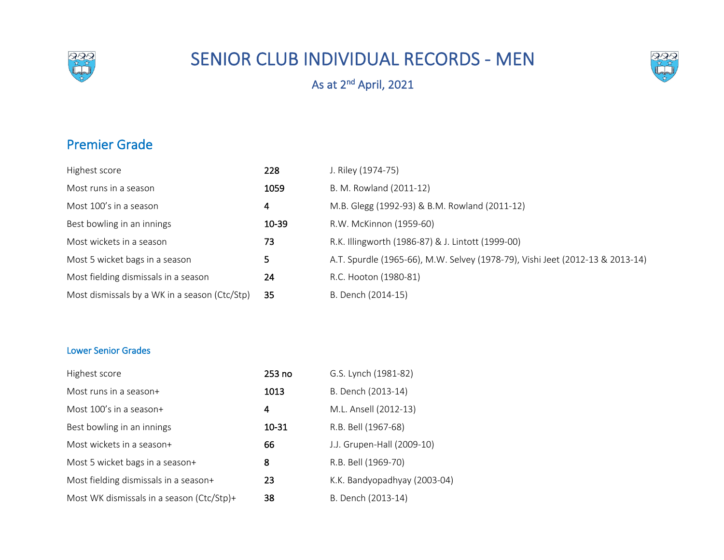

## SENIOR CLUB INDIVIDUAL RECORDS - MEN



As at 2<sup>nd</sup> April, 2021

## Premier Grade

| Highest score                                 | 228       | J. Riley (1974-75)                                                            |
|-----------------------------------------------|-----------|-------------------------------------------------------------------------------|
| Most runs in a season                         | 1059      | B. M. Rowland (2011-12)                                                       |
| Most 100's in a season                        | 4         | M.B. Glegg (1992-93) & B.M. Rowland (2011-12)                                 |
| Best bowling in an innings                    | $10 - 39$ | R.W. McKinnon (1959-60)                                                       |
| Most wickets in a season                      | 73        | R.K. Illingworth (1986-87) & J. Lintott (1999-00)                             |
| Most 5 wicket bags in a season                | 5.        | A.T. Spurdle (1965-66), M.W. Selvey (1978-79), Vishi Jeet (2012-13 & 2013-14) |
| Most fielding dismissals in a season          | 24        | R.C. Hooton (1980-81)                                                         |
| Most dismissals by a WK in a season (Ctc/Stp) | 35        | B. Dench (2014-15)                                                            |

## Lower Senior Grades

| Highest score                             | 253 no | G.S. Lynch (1981-82)         |
|-------------------------------------------|--------|------------------------------|
| Most runs in a season+                    | 1013   | B. Dench (2013-14)           |
| Most 100's in a season+                   | 4      | M.L. Ansell (2012-13)        |
| Best bowling in an innings                | 10-31  | R.B. Bell (1967-68)          |
| Most wickets in a season+                 | 66     | J.J. Grupen-Hall (2009-10)   |
| Most 5 wicket bags in a season+           | 8      | R.B. Bell (1969-70)          |
| Most fielding dismissals in a season+     | 23     | K.K. Bandyopadhyay (2003-04) |
| Most WK dismissals in a season (Ctc/Stp)+ | 38     | B. Dench (2013-14)           |